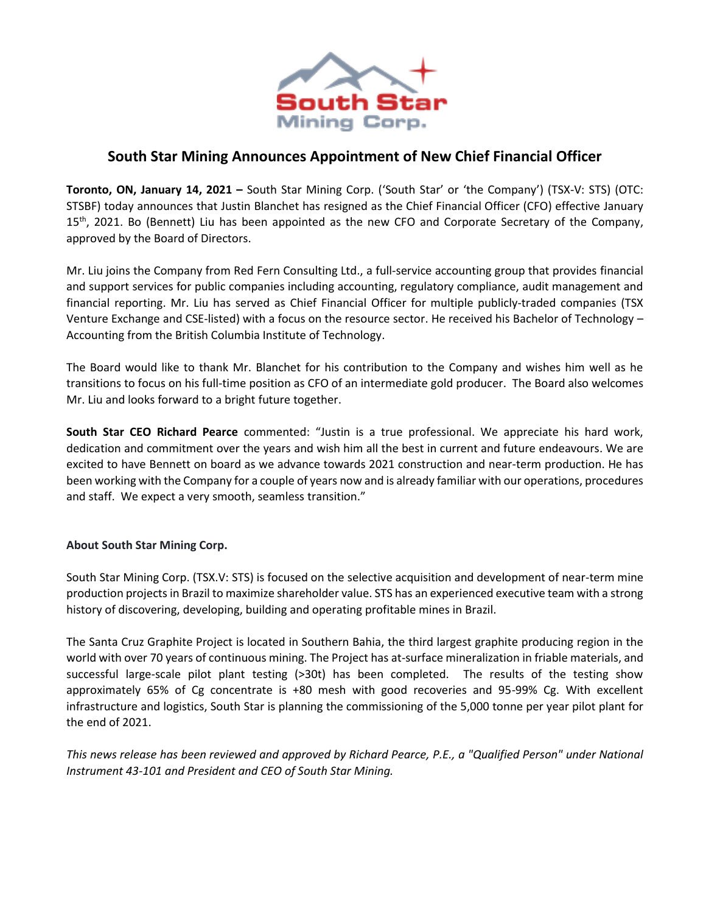

# **South Star Mining Announces Appointment of New Chief Financial Officer**

**Toronto, ON, January 14, 2021 –** South Star Mining Corp. ('South Star' or 'the Company') (TSX-V: STS) (OTC: STSBF) today announces that Justin Blanchet has resigned as the Chief Financial Officer (CFO) effective January 15<sup>th</sup>, 2021. Bo (Bennett) Liu has been appointed as the new CFO and Corporate Secretary of the Company, approved by the Board of Directors.

Mr. Liu joins the Company from Red Fern Consulting Ltd., a full-service accounting group that provides financial and support services for public companies including accounting, regulatory compliance, audit management and financial reporting. Mr. Liu has served as Chief Financial Officer for multiple publicly-traded companies (TSX Venture Exchange and CSE-listed) with a focus on the resource sector. He received his Bachelor of Technology – Accounting from the British Columbia Institute of Technology.

The Board would like to thank Mr. Blanchet for his contribution to the Company and wishes him well as he transitions to focus on his full-time position as CFO of an intermediate gold producer. The Board also welcomes Mr. Liu and looks forward to a bright future together.

**South Star CEO Richard Pearce** commented: "Justin is a true professional. We appreciate his hard work, dedication and commitment over the years and wish him all the best in current and future endeavours. We are excited to have Bennett on board as we advance towards 2021 construction and near-term production. He has been working with the Company for a couple of years now and is already familiar with our operations, procedures and staff. We expect a very smooth, seamless transition."

# **About South Star Mining Corp.**

South Star Mining Corp. (TSX.V: STS) is focused on the selective acquisition and development of near-term mine production projects in Brazil to maximize shareholder value. STS has an experienced executive team with a strong history of discovering, developing, building and operating profitable mines in Brazil.

The Santa Cruz Graphite Project is located in Southern Bahia, the third largest graphite producing region in the world with over 70 years of continuous mining. The Project has at-surface mineralization in friable materials, and successful large-scale pilot plant testing (>30t) has been completed. The results of the testing show approximately 65% of Cg concentrate is +80 mesh with good recoveries and 95-99% Cg. With excellent infrastructure and logistics, South Star is planning the commissioning of the 5,000 tonne per year pilot plant for the end of 2021.

*This news release has been reviewed and approved by Richard Pearce, P.E., a "Qualified Person" under National Instrument 43-101 and President and CEO of South Star Mining.*